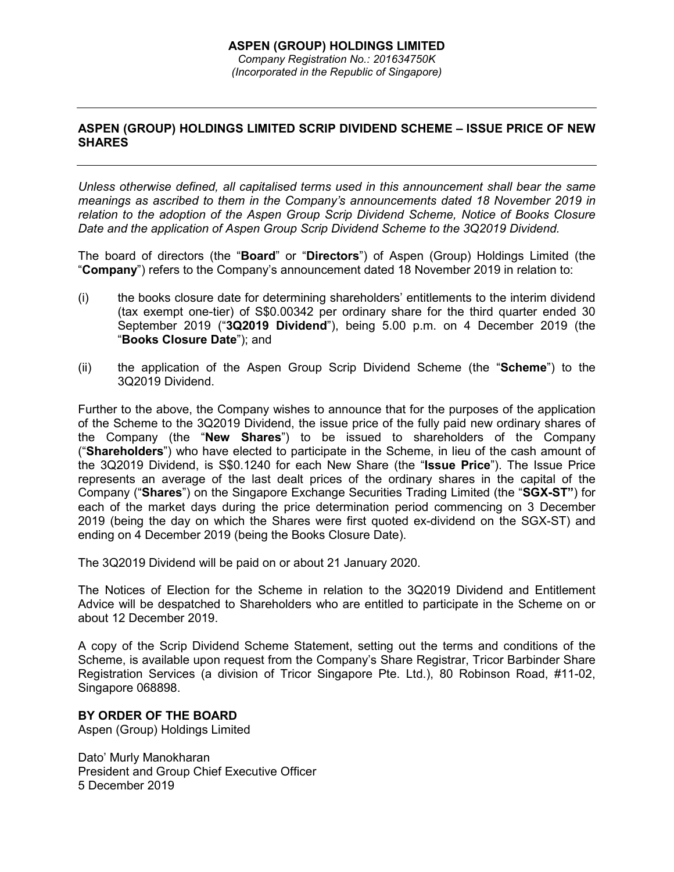## **ASPEN (GROUP) HOLDINGS LIMITED SCRIP DIVIDEND SCHEME – ISSUE PRICE OF NEW SHARES**

*Unless otherwise defined, all capitalised terms used in this announcement shall bear the same meanings as ascribed to them in the Company's announcements dated 18 November 2019 in relation to the adoption of the Aspen Group Scrip Dividend Scheme, Notice of Books Closure Date and the application of Aspen Group Scrip Dividend Scheme to the 3Q2019 Dividend.* 

The board of directors (the "**Board**" or "**Directors**") of Aspen (Group) Holdings Limited (the "**Company**") refers to the Company's announcement dated 18 November 2019 in relation to:

- (i) the books closure date for determining shareholders' entitlements to the interim dividend (tax exempt one-tier) of S\$0.00342 per ordinary share for the third quarter ended 30 September 2019 ("**3Q2019 Dividend**"), being 5.00 p.m. on 4 December 2019 (the "**Books Closure Date**"); and
- (ii) the application of the Aspen Group Scrip Dividend Scheme (the "**Scheme**") to the 3Q2019 Dividend.

Further to the above, the Company wishes to announce that for the purposes of the application of the Scheme to the 3Q2019 Dividend, the issue price of the fully paid new ordinary shares of the Company (the "**New Shares**") to be issued to shareholders of the Company ("**Shareholders**") who have elected to participate in the Scheme, in lieu of the cash amount of the 3Q2019 Dividend, is S\$0.1240 for each New Share (the "**Issue Price**"). The Issue Price represents an average of the last dealt prices of the ordinary shares in the capital of the Company ("**Shares**") on the Singapore Exchange Securities Trading Limited (the "**SGX-ST"**) for each of the market days during the price determination period commencing on 3 December 2019 (being the day on which the Shares were first quoted ex-dividend on the SGX-ST) and ending on 4 December 2019 (being the Books Closure Date).

The 3Q2019 Dividend will be paid on or about 21 January 2020.

The Notices of Election for the Scheme in relation to the 3Q2019 Dividend and Entitlement Advice will be despatched to Shareholders who are entitled to participate in the Scheme on or about 12 December 2019.

A copy of the Scrip Dividend Scheme Statement, setting out the terms and conditions of the Scheme, is available upon request from the Company's Share Registrar, Tricor Barbinder Share Registration Services (a division of Tricor Singapore Pte. Ltd.), 80 Robinson Road, #11-02, Singapore 068898.

## **BY ORDER OF THE BOARD**

Aspen (Group) Holdings Limited

Dato' Murly Manokharan President and Group Chief Executive Officer 5 December 2019